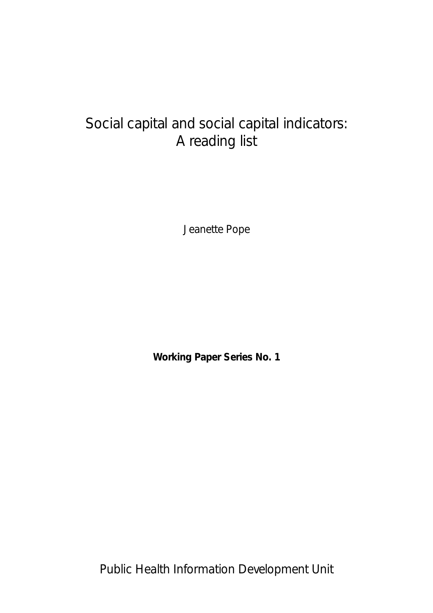# Social capital and social capital indicators: A reading list

Jeanette Pope

**Working Paper Series No. 1** 

Public Health Information Development Unit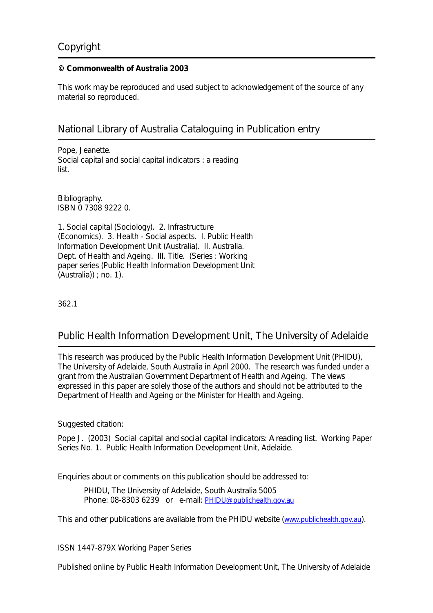# Copyright

#### **© Commonwealth of Australia 2003**

This work may be reproduced and used subject to acknowledgement of the source of any material so reproduced.

# National Library of Australia Cataloguing in Publication entry

Pope, Jeanette. Social capital and social capital indicators : a reading list.

Bibliography. ISBN 0 7308 9222 0.

1. Social capital (Sociology). 2. Infrastructure (Economics). 3. Health - Social aspects. I. Public Health Information Development Unit (Australia). II. Australia. Dept. of Health and Ageing. III. Title. (Series : Working paper series (Public Health Information Development Unit (Australia)) ; no. 1).

362.1

# Public Health Information Development Unit, The University of Adelaide

This research was produced by the Public Health Information Development Unit (PHIDU), The University of Adelaide, South Australia in April 2000. The research was funded under a grant from the Australian Government Department of Health and Ageing. The views expressed in this paper are solely those of the authors and should not be attributed to the Department of Health and Ageing or the Minister for Health and Ageing.

Suggested citation:

Pope J. (2003) *Social capital and social capital indicators: A reading list.* Working Paper Series No. 1. Public Health Information Development Unit, Adelaide.

Enquiries about or comments on this publication should be addressed to:

PHIDU, The University of Adelaide, South Australia 5005 Phone: 08-8303 6239 or e-mail: [PHIDU@publichealth.gov.au](mailto:PHIDU@publichealth.gov.au)

This and other publications are available from the PHIDU website ([www.publichealth.gov.au\)](http://www.publichealth.gov.au/).

ISSN 1447-879X Working Paper Series

Published online by Public Health Information Development Unit, The University of Adelaide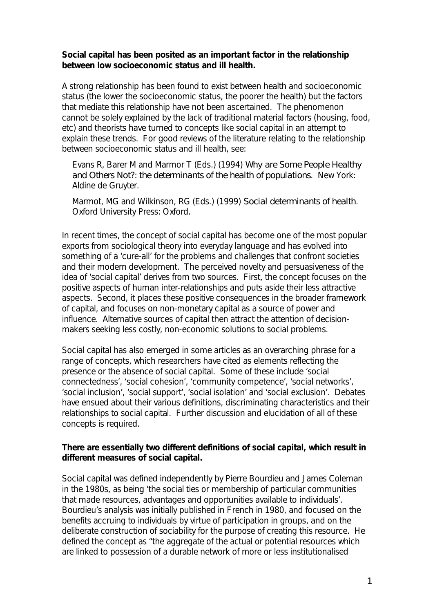# **Social capital has been posited as an important factor in the relationship between low socioeconomic status and ill health.**

A strong relationship has been found to exist between health and socioeconomic status (the lower the socioeconomic status, the poorer the health) but the factors that mediate this relationship have not been ascertained. The phenomenon cannot be solely explained by the lack of traditional material factors (housing, food, etc) and theorists have turned to concepts like social capital in an attempt to explain these trends. For good reviews of the literature relating to the relationship between socioeconomic status and ill health, see:

Evans R, Barer M and Marmor T (Eds.) (1994) *Why are Some People Healthy and Others Not?: the determinants of the health of populations*. New York: Aldine de Gruyter.

Marmot, MG and Wilkinson, RG (Eds.) (1999) *Social determinants of health*. Oxford University Press: Oxford.

In recent times, the concept of social capital has become one of the most popular exports from sociological theory into everyday language and has evolved into something of a 'cure-all' for the problems and challenges that confront societies and their modern development. The perceived novelty and persuasiveness of the idea of 'social capital' derives from two sources. First, the concept focuses on the positive aspects of human inter-relationships and puts aside their less attractive aspects. Second, it places these positive consequences in the broader framework of capital, and focuses on non-monetary capital as a source of power and influence. Alternative sources of capital then attract the attention of decisionmakers seeking less costly, non-economic solutions to social problems.

Social capital has also emerged in some articles as an overarching phrase for a range of concepts, which researchers have cited as elements reflecting the presence or the absence of social capital. Some of these include 'social connectedness', 'social cohesion', 'community competence', 'social networks', 'social inclusion', 'social support', 'social isolation' and 'social exclusion'. Debates have ensued about their various definitions, discriminating characteristics and their relationships to social capital. Further discussion and elucidation of all of these concepts is required.

# **There are essentially two different definitions of social capital, which result in different measures of social capital.**

Social capital was defined independently by Pierre Bourdieu and James Coleman in the 1980s, as being 'the social ties or membership of particular communities that made resources, advantages and opportunities available to individuals'. Bourdieu's analysis was initially published in French in 1980, and focused on the benefits accruing to individuals by virtue of participation in groups, and on the deliberate construction of sociability for the purpose of creating this resource. He defined the concept as "the aggregate of the actual or potential resources which are linked to possession of a durable network of more or less institutionalised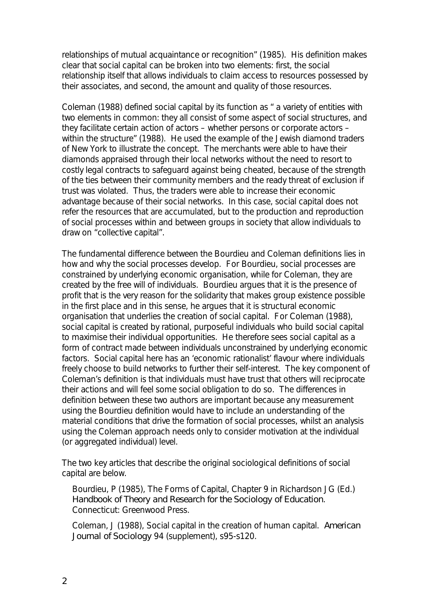relationships of mutual acquaintance or recognition" (1985). His definition makes clear that social capital can be broken into two elements: first, the social relationship itself that allows individuals to claim access to resources possessed by their associates, and second, the amount and quality of those resources.

Coleman (1988) defined social capital by its function as " a variety of entities with two elements in common: they all consist of some aspect of social structures, and they facilitate certain action of actors – whether persons or corporate actors – within the structure" (1988). He used the example of the Jewish diamond traders of New York to illustrate the concept. The merchants were able to have their diamonds appraised through their local networks without the need to resort to costly legal contracts to safeguard against being cheated, because of the strength of the ties between their community members and the ready threat of exclusion if trust was violated. Thus, the traders were able to increase their economic advantage because of their social networks. In this case, social capital does not refer the resources that are accumulated, but to the production and reproduction of social processes within and between groups in society that allow individuals to draw on "collective capital".

The fundamental difference between the Bourdieu and Coleman definitions lies in how and why the social processes develop. For Bourdieu, social processes are constrained by underlying economic organisation, while for Coleman, they are created by the free will of individuals. Bourdieu argues that it is the presence of profit that is the very reason for the solidarity that makes group existence possible in the first place and in this sense, he argues that it is structural economic organisation that underlies the creation of social capital. For Coleman (1988), social capital is created by rational, purposeful individuals who build social capital to maximise their individual opportunities. He therefore sees social capital as a form of contract made between individuals unconstrained by underlying economic factors. Social capital here has an 'economic rationalist' flavour where individuals freely choose to build networks to further their self-interest. The key component of Coleman's definition is that individuals must have trust that others will reciprocate their actions and will feel some social obligation to do so. The differences in definition between these two authors are important because any measurement using the Bourdieu definition would have to include an understanding of the material conditions that drive the formation of social processes, whilst an analysis using the Coleman approach needs only to consider motivation at the individual (or aggregated individual) level.

The two key articles that describe the original sociological definitions of social capital are below.

Bourdieu, P (1985), The Forms of Capital, Chapter 9 in Richardson JG (Ed.) *Handbook of Theory and Research for the Sociology of Education*. Connecticut: Greenwood Press.

Coleman, J (1988), Social capital in the creation of human capital. *American Journal of Sociology* 94 (supplement), s95-s120.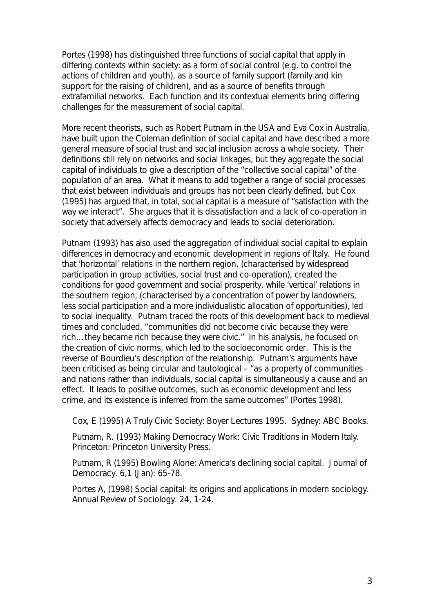Portes (1998) has distinguished three functions of social capital that apply in differing contexts within society: as a form of social control (e.g. to control the actions of children and youth), as a source of family support (family and kin support for the raising of children), and as a source of benefits through extrafamilial networks. Each function and its contextual elements bring differing challenges for the measurement of social capital.

More recent theorists, such as Robert Putnam in the USA and Eva Cox in Australia, have built upon the Coleman definition of social capital and have described a more general measure of social trust and social inclusion across a whole society. Their definitions still rely on networks and social linkages, but they aggregate the social capital of individuals to give a description of the "collective social capital" of the population of an area. What it means to add together a range of social processes that exist between individuals and groups has not been clearly defined, but Cox (1995) has argued that, in total, social capital is a measure of "satisfaction with the way we interact". She argues that it is dissatisfaction and a lack of co-operation in society that adversely affects democracy and leads to social deterioration.

Putnam (1993) has also used the aggregation of individual social capital to explain differences in democracy and economic development in regions of Italy. He found that 'horizontal' relations in the northern region, (characterised by widespread participation in group activities, social trust and co-operation), created the conditions for good government and social prosperity, while 'vertical' relations in the southern region, (characterised by a concentration of power by landowners, less social participation and a more individualistic allocation of opportunities), led to social inequality. Putnam traced the roots of this development back to medieval times and concluded, "communities did not become civic because they were rich…they became rich because they were civic." In his analysis, he focused on the creation of civic norms, which led to the socioeconomic order. This is the reverse of Bourdieu's description of the relationship. Putnam's arguments have been criticised as being circular and tautological – "as a property of communities and nations rather than individuals, social capital is simultaneously a cause and an effect. It leads to positive outcomes, such as economic development and less crime, and its existence is inferred from the same outcomes" (Portes 1998).

Cox, E (1995) A Truly Civic Society: Boyer Lectures 1995. Sydney: ABC Books.

Putnam, R. (1993) Making Democracy Work: Civic Traditions in Modern Italy. Princeton: Princeton University Press.

Putnam, R (1995) Bowling Alone: America's declining social capital. Journal of Democracy. 6,1 (Jan): 65-78.

Portes A, (1998) Social capital: its origins and applications in modern sociology. Annual Review of Sociology. 24, 1-24.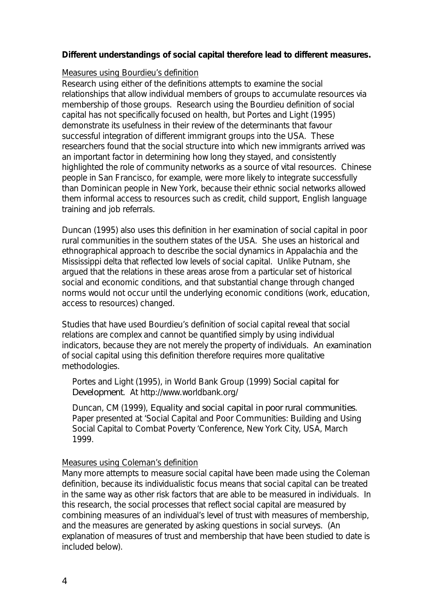# **Different understandings of social capital therefore lead to different measures.**

#### Measures using Bourdieu's definition

Research using either of the definitions attempts to examine the social relationships that allow individual members of groups to accumulate resources via membership of those groups. Research using the Bourdieu definition of social capital has not specifically focused on health, but Portes and Light (1995) demonstrate its usefulness in their review of the determinants that favour successful integration of different immigrant groups into the USA. These researchers found that the social structure into which new immigrants arrived was an important factor in determining how long they stayed, and consistently highlighted the role of community networks as a source of vital resources. Chinese people in San Francisco, for example, were more likely to integrate successfully than Dominican people in New York, because their ethnic social networks allowed them informal access to resources such as credit, child support, English language training and job referrals.

Duncan (1995) also uses this definition in her examination of social capital in poor rural communities in the southern states of the USA. She uses an historical and ethnographical approach to describe the social dynamics in Appalachia and the Mississippi delta that reflected low levels of social capital. Unlike Putnam, she argued that the relations in these areas arose from a particular set of historical social and economic conditions, and that substantial change through changed norms would not occur until the underlying economic conditions (work, education, access to resources) changed.

Studies that have used Bourdieu's definition of social capital reveal that social relations are complex and cannot be quantified simply by using individual indicators, because they are not merely the property of individuals. An examination of social capital using this definition therefore requires more qualitative methodologies.

Portes and Light (1995), in World Bank Group (1999) *Social capital for Development*. At http://www.worldbank.org/

Duncan, CM (1999), *Equality and social capital in poor rural communities*. Paper presented at 'Social Capital and Poor Communities: Building and Using Social Capital to Combat Poverty 'Conference, New York City, USA, March 1999.

#### Measures using Coleman's definition

Many more attempts to measure social capital have been made using the Coleman definition, because its individualistic focus means that social capital can be treated in the same way as other risk factors that are able to be measured in individuals. In this research, the social processes that reflect social capital are measured by combining measures of an individual's level of trust with measures of membership, and the measures are generated by asking questions in social surveys. (An explanation of measures of trust and membership that have been studied to date is included below).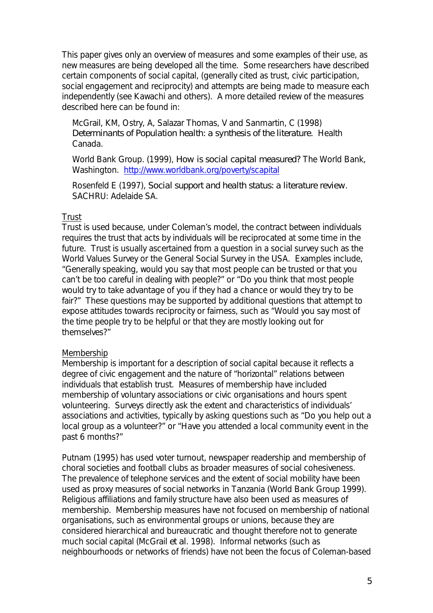This paper gives only an overview of measures and some examples of their use, as new measures are being developed all the time. Some researchers have described certain components of social capital, (generally cited as trust, civic participation, social engagement and reciprocity) and attempts are being made to measure each independently (see Kawachi and others). A more detailed review of the measures described here can be found in:

McGrail, KM, Ostry, A, Salazar Thomas, V and Sanmartin, C (1998) *Determinants of Population health: a synthesis of the literature*. Health Canada.

World Bank Group. (1999), *How is social capital measured?* The World Bank, Washington. <http://www.worldbank.org/poverty/scapital>

Rosenfeld E (1997), *Social support and health status: a literature review*. SACHRU: Adelaide SA.

# Trust

Trust is used because, under Coleman's model, the contract between individuals requires the trust that acts by individuals will be reciprocated at some time in the future. Trust is usually ascertained from a question in a social survey such as the World Values Survey or the General Social Survey in the USA. Examples include, "Generally speaking, would you say that most people can be trusted or that you can't be too careful in dealing with people?" or "Do you think that most people would try to take advantage of you if they had a chance or would they try to be fair?" These questions may be supported by additional questions that attempt to expose attitudes towards reciprocity or fairness, such as "Would you say most of the time people try to be helpful or that they are mostly looking out for themselves?"

# Membership

Membership is important for a description of social capital because it reflects a degree of civic engagement and the nature of "horizontal" relations between individuals that establish trust. Measures of membership have included membership of voluntary associations or civic organisations and hours spent volunteering. Surveys directly ask the extent and characteristics of individuals' associations and activities, typically by asking questions such as "Do you help out a local group as a volunteer?" or "Have you attended a local community event in the past 6 months?"

Putnam (1995) has used voter turnout, newspaper readership and membership of choral societies and football clubs as broader measures of social cohesiveness. The prevalence of telephone services and the extent of social mobility have been used as proxy measures of social networks in Tanzania (World Bank Group 1999). Religious affiliations and family structure have also been used as measures of membership. Membership measures have not focused on membership of national organisations, such as environmental groups or unions, because they are considered hierarchical and bureaucratic and thought therefore not to generate much social capital (McGrail *et al*. 1998). Informal networks (such as neighbourhoods or networks of friends) have not been the focus of Coleman-based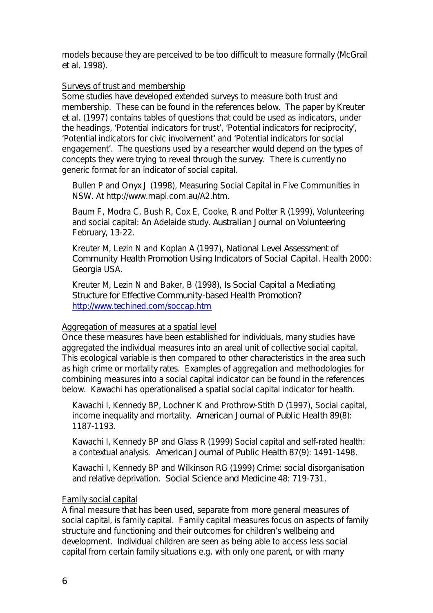models because they are perceived to be too difficult to measure formally (McGrail *et al*. 1998).

# Surveys of trust and membership

Some studies have developed extended surveys to measure both trust and membership. These can be found in the references below. The paper by Kreuter *et al.* (1997) contains tables of questions that could be used as indicators, under the headings, 'Potential indicators for trust', 'Potential indicators for reciprocity', 'Potential indicators for civic involvement' and 'Potential indicators for social engagement'. The questions used by a researcher would depend on the types of concepts they were trying to reveal through the survey. There is currently no generic format for an indicator of social capital.

Bullen P and Onyx J (1998), Measuring Social Capital in Five Communities in NSW. At http://www.mapl.com.au/A2.htm.

Baum F, Modra C, Bush R, Cox E, Cooke, R and Potter R (1999), Volunteering and social capital: An Adelaide study. *Australian Journal on Volunteering* February, 13-22.

Kreuter M, Lezin N and Koplan A (1997), *National Level Assessment of Community Health Promotion Using Indicators of Social Capital*. Health 2000: Georgia USA.

Kreuter M, Lezin N and Baker, B (1998), *Is Social Capital a Mediating Structure for Effective Community-based Health Promotion?* <http://www.techined.com/soccap.htm>

# Aggregation of measures at a spatial level

Once these measures have been established for individuals, many studies have aggregated the individual measures into an areal unit of collective social capital. This ecological variable is then compared to other characteristics in the area such as high crime or mortality rates. Examples of aggregation and methodologies for combining measures into a social capital indicator can be found in the references below. Kawachi has operationalised a spatial social capital indicator for health.

Kawachi I, Kennedy BP, Lochner K and Prothrow-Stith D (1997), Social capital, income inequality and mortality. *American Journal of Public Health* 89(8): 1187-1193.

Kawachi I, Kennedy BP and Glass R (1999) Social capital and self-rated health: a contextual analysis. *American Journal of Public Health* 87(9): 1491-1498.

Kawachi I, Kennedy BP and Wilkinson RG (1999) Crime: social disorganisation and relative deprivation. *Social Science and Medicine* 48: 719-731.

# Family social capital

A final measure that has been used, separate from more general measures of social capital, is family capital. Family capital measures focus on aspects of family structure and functioning and their outcomes for children's wellbeing and development. Individual children are seen as being able to access less social capital from certain family situations e.g. with only one parent, or with many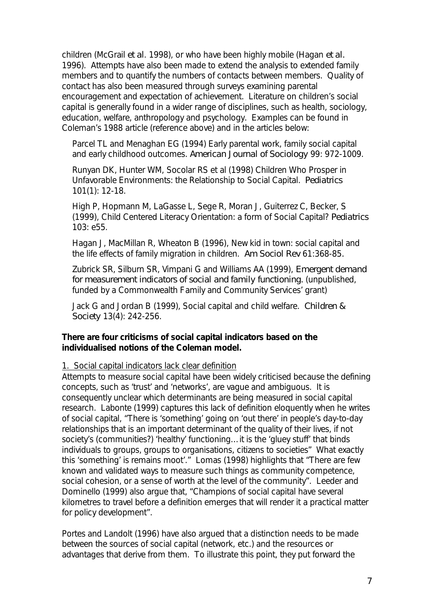children (McGrail *et al*. 1998), or who have been highly mobile (Hagan *et al.*  1996). Attempts have also been made to extend the analysis to extended family members and to quantify the numbers of contacts between members. Quality of contact has also been measured through surveys examining parental encouragement and expectation of achievement. Literature on children's social capital is generally found in a wider range of disciplines, such as health, sociology, education, welfare, anthropology and psychology. Examples can be found in Coleman's 1988 article (reference above) and in the articles below:

Parcel TL and Menaghan EG (1994) Early parental work, family social capital and early childhood outcomes. *American Journal of Sociology* 99: 972-1009.

Runyan DK, Hunter WM, Socolar RS et al (1998) Children Who Prosper in Unfavorable Environments: the Relationship to Social Capital. *Pediatrics*  101(1): 12-18.

High P, Hopmann M, LaGasse L, Sege R, Moran J, Guiterrez C, Becker, S (1999), Child Centered Literacy Orientation: a form of Social Capital? *Pediatrics* 103: e55.

Hagan J, MacMillan R, Wheaton B (1996), New kid in town: social capital and the life effects of family migration in children. *Am Sociol Rev* 61:368-85*.* 

Zubrick SR, Silburn SR, Vimpani G and Williams AA (1999), *Emergent demand for measurement indicators of social and family functioning.* (unpublished, funded by a Commonwealth Family and Community Services' grant)

Jack G and Jordan B (1999), Social capital and child welfare. *Children & Society* 13(4): 242-256.

# **There are four criticisms of social capital indicators based on the individualised notions of the Coleman model.**

1.Social capital indicators lack clear definition

Attempts to measure social capital have been widely criticised because the defining concepts, such as 'trust' and 'networks', are vague and ambiguous. It is consequently unclear which determinants are being measured in social capital research. Labonte (1999) captures this lack of definition eloquently when he writes of social capital, "There is 'something' going on 'out there' in people's day-to-day relationships that is an important determinant of the quality of their lives, if not society's (communities?) 'healthy' functioning…it is the 'gluey stuff' that binds individuals to groups, groups to organisations, citizens to societies" What exactly this 'something' is remains moot'." Lomas (1998) highlights that "There are few known and validated ways to measure such things as community competence, social cohesion, or a sense of worth at the level of the community". Leeder and Dominello (1999) also argue that, "Champions of social capital have several kilometres to travel before a definition emerges that will render it a practical matter for policy development".

Portes and Landolt (1996) have also argued that a distinction needs to be made between the sources of social capital (network, etc.) and the resources or advantages that derive from them. To illustrate this point, they put forward the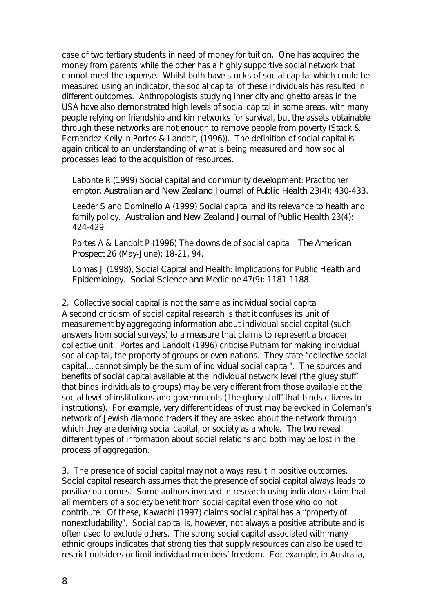case of two tertiary students in need of money for tuition. One has acquired the money from parents while the other has a highly supportive social network that cannot meet the expense. Whilst both have stocks of social capital which could be measured using an indicator, the social capital of these individuals has resulted in different outcomes. Anthropologists studying inner city and ghetto areas in the USA have also demonstrated high levels of social capital in some areas, with many people relying on friendship and kin networks for survival, but the assets obtainable through these networks are not enough to remove people from poverty (Stack & Fernandez-Kelly in Portes & Landolt, (1996)). The definition of social capital is again critical to an understanding of what is being measured and how social processes lead to the acquisition of resources.

Labonte R (1999) Social capital and community development: Practitioner emptor. *Australian and New Zealand Journal of Public Health* 23(4): 430-433.

Leeder S and Dominello A (1999) Social capital and its relevance to health and family policy. *Australian and New Zealand Journal of Public Health* 23(4): 424-429.

Portes A & Landolt P (1996) The downside of social capital. *The American Prospect* 26 (May-June): 18-21, 94.

Lomas J (1998), Social Capital and Health: Implications for Public Health and Epidemiology. *Social Science and Medicine* 47(9): 1181-1188.

2. Collective social capital is not the same as individual social capital A second criticism of social capital research is that it confuses its unit of measurement by aggregating information about individual social capital (such answers from social surveys) to a measure that claims to represent a broader collective unit. Portes and Landolt (1996) criticise Putnam for making individual social capital, the property of groups or even nations. They state "collective social capital…cannot simply be the sum of individual social capital". The sources and benefits of social capital available at the individual network level ('the gluey stuff' that binds individuals to groups) may be very different from those available at the social level of institutions and governments ('the gluey stuff' that binds citizens to institutions). For example, very different ideas of trust may be evoked in Coleman's network of Jewish diamond traders if they are asked about the network through which they are deriving social capital, or society as a whole. The two reveal different types of information about social relations and both may be lost in the process of aggregation.

3. The presence of social capital may not always result in positive outcomes. Social capital research assumes that the presence of social capital always leads to positive outcomes. Some authors involved in research using indicators claim that all members of a society benefit from social capital even those who do not contribute. Of these, Kawachi (1997) claims social capital has a "property of nonexcludability". Social capital is, however, not always a positive attribute and is often used to exclude others. The strong social capital associated with many ethnic groups indicates that strong ties that supply resources can also be used to restrict outsiders or limit individual members' freedom. For example, in Australia,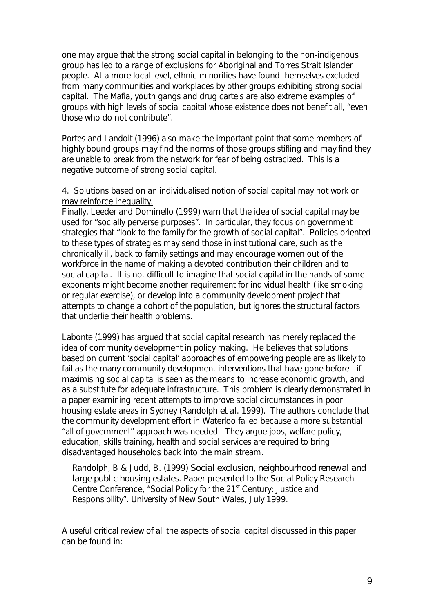one may argue that the strong social capital in belonging to the non-indigenous group has led to a range of exclusions for Aboriginal and Torres Strait Islander people. At a more local level, ethnic minorities have found themselves excluded from many communities and workplaces by other groups exhibiting strong social capital. The Mafia, youth gangs and drug cartels are also extreme examples of groups with high levels of social capital whose existence does not benefit all, "even those who do not contribute".

Portes and Landolt (1996) also make the important point that some members of highly bound groups may find the norms of those groups stifling and may find they are unable to break from the network for fear of being ostracized. This is a negative outcome of strong social capital.

# 4. Solutions based on an individualised notion of social capital may not work or may reinforce inequality.

Finally, Leeder and Dominello (1999) warn that the idea of social capital may be used for "socially perverse purposes". In particular, they focus on government strategies that "look to the family for the growth of social capital". Policies oriented to these types of strategies may send those in institutional care, such as the chronically ill, back to family settings and may encourage women out of the workforce in the name of making a devoted contribution their children and to social capital. It is not difficult to imagine that social capital in the hands of some exponents might become another requirement for individual health (like smoking or regular exercise), or develop into a community development project that attempts to change a cohort of the population, but ignores the structural factors that underlie their health problems.

Labonte (1999) has argued that social capital research has merely replaced the idea of community development in policy making. He believes that solutions based on current 'social capital' approaches of empowering people are as likely to fail as the many community development interventions that have gone before - if maximising social capital is seen as the means to increase economic growth, and as a substitute for adequate infrastructure. This problem is clearly demonstrated in a paper examining recent attempts to improve social circumstances in poor housing estate areas in Sydney (Randolph *et al*. 1999). The authors conclude that the community development effort in Waterloo failed because a more substantial "all of government" approach was needed. They argue jobs, welfare policy, education, skills training, health and social services are required to bring disadvantaged households back into the main stream.

Randolph, B & Judd, B. (1999) *Social exclusion, neighbourhood renewal and large public housing estates*. Paper presented to the Social Policy Research Centre Conference, "Social Policy for the 21<sup>st</sup> Century: Justice and Responsibility". University of New South Wales, July 1999.

A useful critical review of all the aspects of social capital discussed in this paper can be found in: